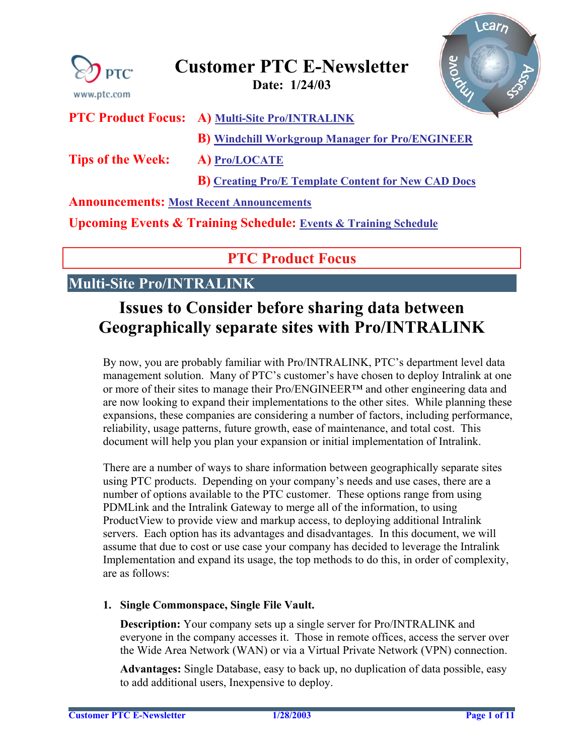<span id="page-0-0"></span>

### **Customer PTC E-Newsletter Date: 1/24/03**

Learn Svove

|  | <b>PTC Product Focus: A) Multi-Site Pro/INTRALINK</b> |
|--|-------------------------------------------------------|
|  |                                                       |

**B) [Windchill Workgroup Manager for Pro/ENGINEER](#page-3-0)**

**Tips of the Week: A) [Pro/LOCATE](#page-4-0)** 

**B) [Creating Pro/E Template Content for New CAD Docs](#page-8-0)**

#### **Announcements: [Most Recent Announcements](#page-8-0)**

**Upcoming Events & Training Schedule: [Events & Training Schedule](#page-10-0)**

### **PTC Product Focus**

### **Multi-Site Pro/INTRALINK**

# **Issues to Consider before sharing data between Geographically separate sites with Pro/INTRALINK**

By now, you are probably familiar with Pro/INTRALINK, PTC's department level data management solution. Many of PTC's customer's have chosen to deploy Intralink at one or more of their sites to manage their Pro/ENGINEER™ and other engineering data and are now looking to expand their implementations to the other sites. While planning these expansions, these companies are considering a number of factors, including performance, reliability, usage patterns, future growth, ease of maintenance, and total cost. This document will help you plan your expansion or initial implementation of Intralink.

There are a number of ways to share information between geographically separate sites using PTC products. Depending on your company's needs and use cases, there are a number of options available to the PTC customer. These options range from using PDMLink and the Intralink Gateway to merge all of the information, to using ProductView to provide view and markup access, to deploying additional Intralink servers. Each option has its advantages and disadvantages. In this document, we will assume that due to cost or use case your company has decided to leverage the Intralink Implementation and expand its usage, the top methods to do this, in order of complexity, are as follows:

#### **1. Single Commonspace, Single File Vault.**

**Description:** Your company sets up a single server for Pro/INTRALINK and everyone in the company accesses it. Those in remote offices, access the server over the Wide Area Network (WAN) or via a Virtual Private Network (VPN) connection.

**Advantages:** Single Database, easy to back up, no duplication of data possible, easy to add additional users, Inexpensive to deploy.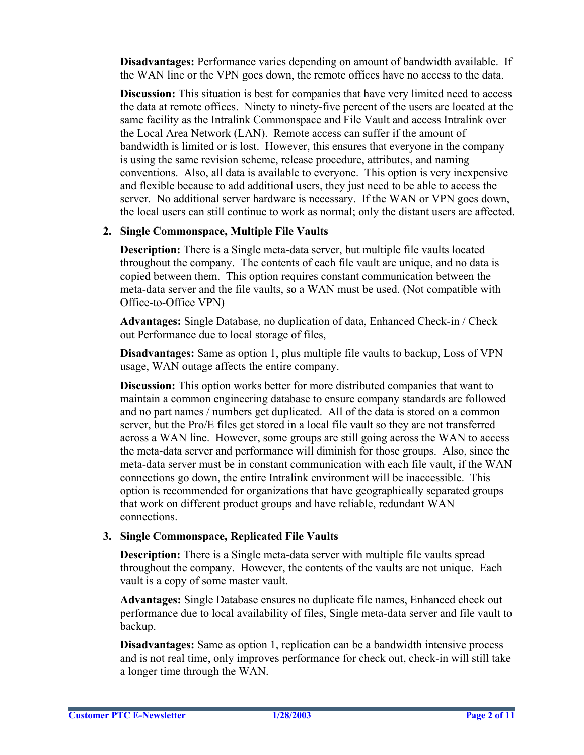**Disadvantages:** Performance varies depending on amount of bandwidth available. If the WAN line or the VPN goes down, the remote offices have no access to the data.

**Discussion:** This situation is best for companies that have very limited need to access the data at remote offices. Ninety to ninety-five percent of the users are located at the same facility as the Intralink Commonspace and File Vault and access Intralink over the Local Area Network (LAN). Remote access can suffer if the amount of bandwidth is limited or is lost. However, this ensures that everyone in the company is using the same revision scheme, release procedure, attributes, and naming conventions. Also, all data is available to everyone. This option is very inexpensive and flexible because to add additional users, they just need to be able to access the server. No additional server hardware is necessary. If the WAN or VPN goes down, the local users can still continue to work as normal; only the distant users are affected.

#### **2. Single Commonspace, Multiple File Vaults**

**Description:** There is a Single meta-data server, but multiple file vaults located throughout the company. The contents of each file vault are unique, and no data is copied between them. This option requires constant communication between the meta-data server and the file vaults, so a WAN must be used. (Not compatible with Office-to-Office VPN)

**Advantages:** Single Database, no duplication of data, Enhanced Check-in / Check out Performance due to local storage of files,

**Disadvantages:** Same as option 1, plus multiple file vaults to backup, Loss of VPN usage, WAN outage affects the entire company.

**Discussion:** This option works better for more distributed companies that want to maintain a common engineering database to ensure company standards are followed and no part names / numbers get duplicated. All of the data is stored on a common server, but the Pro/E files get stored in a local file vault so they are not transferred across a WAN line. However, some groups are still going across the WAN to access the meta-data server and performance will diminish for those groups. Also, since the meta-data server must be in constant communication with each file vault, if the WAN connections go down, the entire Intralink environment will be inaccessible. This option is recommended for organizations that have geographically separated groups that work on different product groups and have reliable, redundant WAN connections.

#### **3. Single Commonspace, Replicated File Vaults**

**Description:** There is a Single meta-data server with multiple file vaults spread throughout the company. However, the contents of the vaults are not unique. Each vault is a copy of some master vault.

**Advantages:** Single Database ensures no duplicate file names, Enhanced check out performance due to local availability of files, Single meta-data server and file vault to backup.

**Disadvantages:** Same as option 1, replication can be a bandwidth intensive process and is not real time, only improves performance for check out, check-in will still take a longer time through the WAN.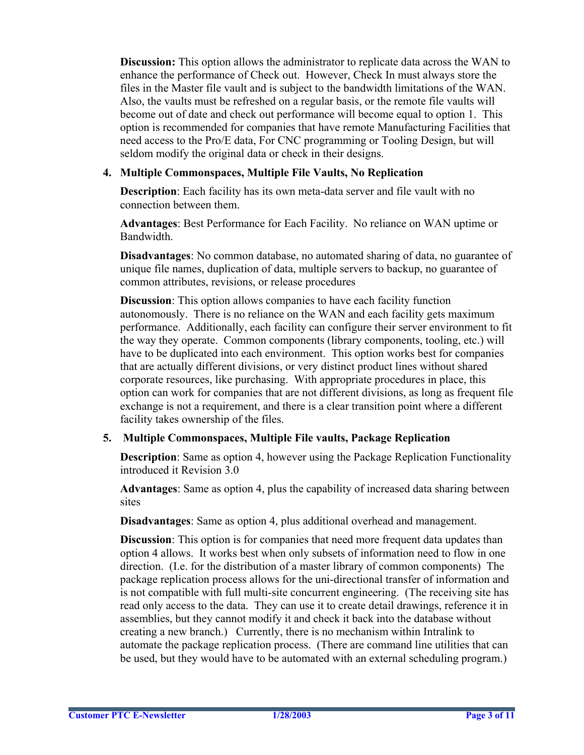**Discussion:** This option allows the administrator to replicate data across the WAN to enhance the performance of Check out. However, Check In must always store the files in the Master file vault and is subject to the bandwidth limitations of the WAN. Also, the vaults must be refreshed on a regular basis, or the remote file vaults will become out of date and check out performance will become equal to option 1. This option is recommended for companies that have remote Manufacturing Facilities that need access to the Pro/E data, For CNC programming or Tooling Design, but will seldom modify the original data or check in their designs.

#### **4. Multiple Commonspaces, Multiple File Vaults, No Replication**

**Description**: Each facility has its own meta-data server and file vault with no connection between them.

**Advantages**: Best Performance for Each Facility. No reliance on WAN uptime or Bandwidth.

**Disadvantages**: No common database, no automated sharing of data, no guarantee of unique file names, duplication of data, multiple servers to backup, no guarantee of common attributes, revisions, or release procedures

**Discussion**: This option allows companies to have each facility function autonomously. There is no reliance on the WAN and each facility gets maximum performance. Additionally, each facility can configure their server environment to fit the way they operate. Common components (library components, tooling, etc.) will have to be duplicated into each environment. This option works best for companies that are actually different divisions, or very distinct product lines without shared corporate resources, like purchasing. With appropriate procedures in place, this option can work for companies that are not different divisions, as long as frequent file exchange is not a requirement, and there is a clear transition point where a different facility takes ownership of the files.

#### **5. Multiple Commonspaces, Multiple File vaults, Package Replication**

**Description**: Same as option 4, however using the Package Replication Functionality introduced it Revision 3.0

**Advantages**: Same as option 4, plus the capability of increased data sharing between sites

**Disadvantages**: Same as option 4, plus additional overhead and management.

**Discussion**: This option is for companies that need more frequent data updates than option 4 allows. It works best when only subsets of information need to flow in one direction. (I.e. for the distribution of a master library of common components) The package replication process allows for the uni-directional transfer of information and is not compatible with full multi-site concurrent engineering. (The receiving site has read only access to the data. They can use it to create detail drawings, reference it in assemblies, but they cannot modify it and check it back into the database without creating a new branch.) Currently, there is no mechanism within Intralink to automate the package replication process. (There are command line utilities that can be used, but they would have to be automated with an external scheduling program.)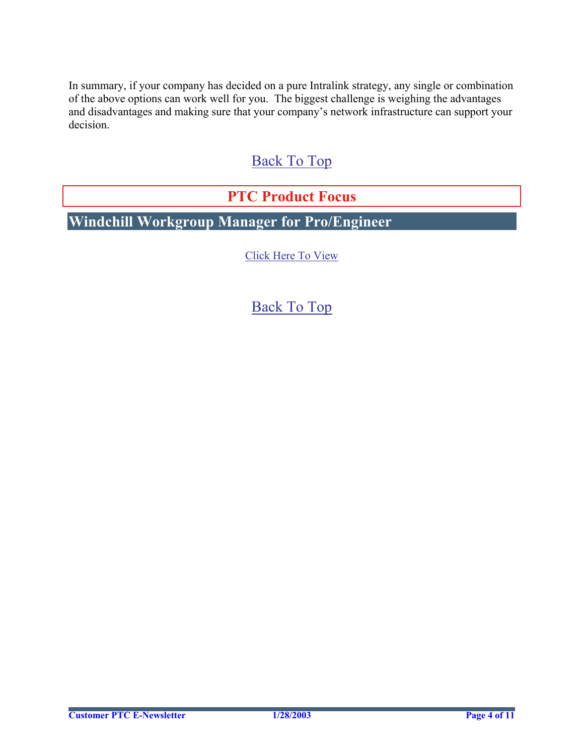<span id="page-3-0"></span>In summary, if your company has decided on a pure Intralink strategy, any single or combination of the above options can work well for you. The biggest challenge is weighing the advantages and disadvantages and making sure that your company's network infrastructure can support your decision.

# [Back To Top](#page-0-0)

### **PTC Product Focus**

**Windchill Workgroup Manager for Pro/Engineer** 

[Click Here To View](http://www.ptc-mss.com/Tutorial/Tip_Tech/Customer PTC E-Newsletter 1-24-2003_B.pdf)

## [Back To Top](#page-0-0)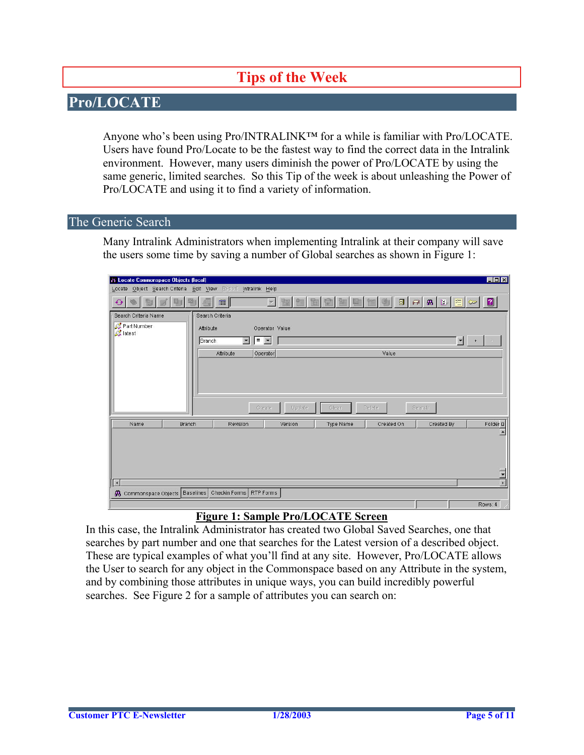# **Tips of the Week**

### <span id="page-4-0"></span>**Pro/LOCATE**

Anyone who's been using Pro/INTRALINK™ for a while is familiar with Pro/LOCATE. Users have found Pro/Locate to be the fastest way to find the correct data in the Intralink environment. However, many users diminish the power of Pro/LOCATE by using the same generic, limited searches. So this Tip of the week is about unleashing the Power of Pro/LOCATE and using it to find a variety of information.

#### The Generic Search

Many Intralink Administrators when implementing Intralink at their company will save the users some time by saving a number of Global searches as shown in Figure 1:

| $\Box$<br>/\ Locate Commonspace Objects (local)               |                                                                                                                                          |  |
|---------------------------------------------------------------|------------------------------------------------------------------------------------------------------------------------------------------|--|
| Locate Object Search Criteria Edit View Report Intralink Help |                                                                                                                                          |  |
|                                                               | 目<br>$\blacksquare$<br>$\mathbf{B}$ $\mathbb{E}$<br>军<br>$\overline{\mathbb{H}^{\mathbb{H}}}$<br>面<br>$\vert \mathbf{v} \vert$<br>$\sim$ |  |
| Search Criteria Name                                          | Search Criteria                                                                                                                          |  |
| Part Number<br>Attribute<br><b>A</b> latest                   | Operator Value                                                                                                                           |  |
| <b>Branch</b>                                                 | $\vert \cdot \vert$<br>$=$ $\mathbf{v}$<br>$\blacksquare$                                                                                |  |
|                                                               | Operator<br>Attribute<br>Value                                                                                                           |  |
|                                                               | Update<br>Create<br>Clear<br>Delete<br>Search                                                                                            |  |
| Name<br><b>Branch</b>                                         | Folder D<br>Revision<br>Type Name<br>Created On<br>Created By<br>Version<br>×                                                            |  |
|                                                               |                                                                                                                                          |  |
|                                                               | $\overline{\phantom{0}}$<br>$\blacksquare$                                                                                               |  |
| $\vert$ 4<br>4 Commonspace Objects   Baselines                | Checkin Forms   RTP Forms                                                                                                                |  |
|                                                               | Rows: 4                                                                                                                                  |  |

#### **Figure 1: Sample Pro/LOCATE Screen**

In this case, the Intralink Administrator has created two Global Saved Searches, one that searches by part number and one that searches for the Latest version of a described object. These are typical examples of what you'll find at any site. However, Pro/LOCATE allows the User to search for any object in the Commonspace based on any Attribute in the system, and by combining those attributes in unique ways, you can build incredibly powerful searches. See Figure 2 for a sample of attributes you can search on: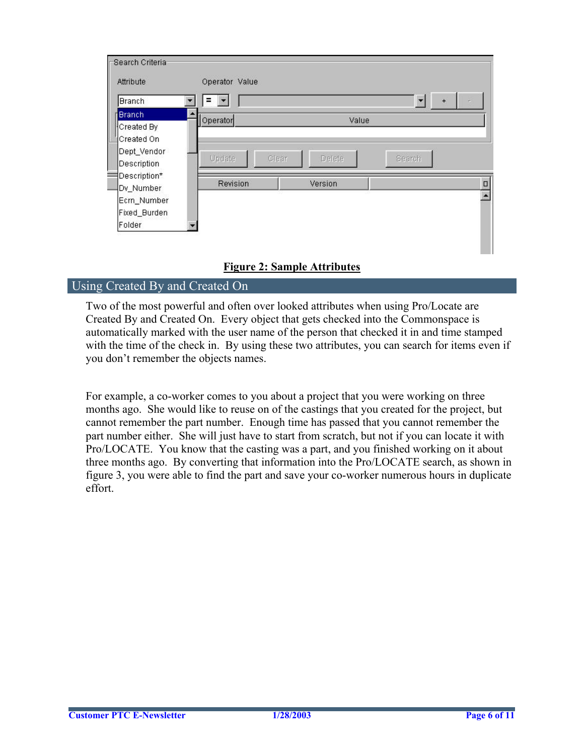| Attribute                                | Operator Value  |         |                          |        |
|------------------------------------------|-----------------|---------|--------------------------|--------|
| <b>Branch</b>                            | =               |         | $\overline{\phantom{a}}$ | $+$    |
| <b>Branch</b><br>Created By              | Operator        | Value   |                          |        |
| Created On<br>Dept_Vendor<br>Description | Update<br>Clear | Delete  | Search                   |        |
| Description*<br>Dv_Number                | Revision        | Version |                          | $\Box$ |
| Ecrn_Number                              |                 |         |                          |        |
| Fixed_Burden<br>Folder                   |                 |         |                          |        |

#### **Figure 2: Sample Attributes**

#### Using Created By and Created On

Two of the most powerful and often over looked attributes when using Pro/Locate are Created By and Created On. Every object that gets checked into the Commonspace is automatically marked with the user name of the person that checked it in and time stamped with the time of the check in. By using these two attributes, you can search for items even if you don't remember the objects names.

For example, a co-worker comes to you about a project that you were working on three months ago. She would like to reuse on of the castings that you created for the project, but cannot remember the part number. Enough time has passed that you cannot remember the part number either. She will just have to start from scratch, but not if you can locate it with Pro/LOCATE. You know that the casting was a part, and you finished working on it about three months ago. By converting that information into the Pro/LOCATE search, as shown in figure 3, you were able to find the part and save your co-worker numerous hours in duplicate effort.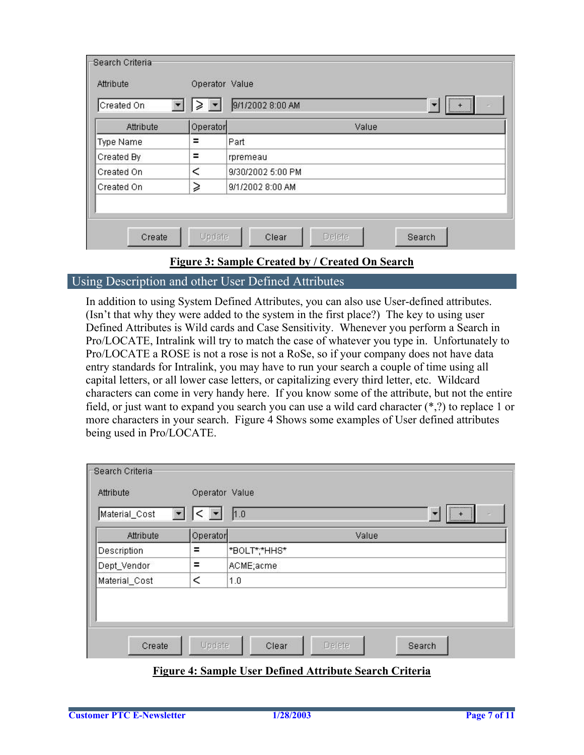| Fearch Criteria<br>Attribute<br>Created On<br>Type Name<br>Created By<br>Created On<br>Created On | ⋧        | <br>9/1/2002 8:00 AM<br>$\frac{1}{\sqrt{2}}$ |
|---------------------------------------------------------------------------------------------------|----------|----------------------------------------------|
| Attribute                                                                                         | Operator | Value                                        |
|                                                                                                   | Ξ        | Part                                         |
|                                                                                                   | Ξ        | rpremeau                                     |
|                                                                                                   | $\,<\,$  | 9/30/2002 5:00 PM                            |
|                                                                                                   | ⋧        | 9/1/2002 8:00 AM                             |
|                                                                                                   |          |                                              |

#### **Figure 3: Sample Created by / Created On Search**

Using Description and other User Defined Attributes

In addition to using System Defined Attributes, you can also use User-defined attributes. (Isn't that why they were added to the system in the first place?) The key to using user Defined Attributes is Wild cards and Case Sensitivity. Whenever you perform a Search in Pro/LOCATE, Intralink will try to match the case of whatever you type in. Unfortunately to Pro/LOCATE a ROSE is not a rose is not a RoSe, so if your company does not have data entry standards for Intralink, you may have to run your search a couple of time using all capital letters, or all lower case letters, or capitalizing every third letter, etc. Wildcard characters can come in very handy here. If you know some of the attribute, but not the entire field, or just want to expand you search you can use a wild card character (\*,?) to replace 1 or more characters in your search. Figure 4 Shows some examples of User defined attributes being used in Pro/LOCATE.

| Material_Cost | $\leq$   | 1.0<br>$\ddot{}$<br><u>  +  </u> |
|---------------|----------|----------------------------------|
| Attribute     | Operator | Value                            |
| Description   | Ξ        | *BOLT*;*HHS*                     |
| Dept_Vendor   | Ξ        | ACME;acme                        |
| Material_Cost | $\,<$    | 1.0                              |

#### **Figure 4: Sample User Defined Attribute Search Criteria**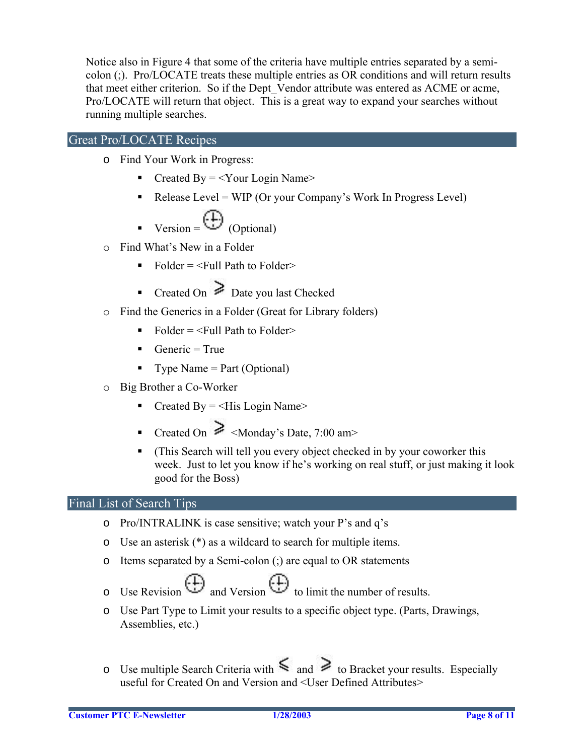Notice also in Figure 4 that some of the criteria have multiple entries separated by a semicolon (;). Pro/LOCATE treats these multiple entries as OR conditions and will return results that meet either criterion. So if the Dept\_Vendor attribute was entered as ACME or acme, Pro/LOCATE will return that object. This is a great way to expand your searches without running multiple searches.

#### Great Pro/LOCATE Recipes

- o Find Your Work in Progress:
	- Created By  $=$  <Your Login Name>
	- Release Level = WIP (Or your Company's Work In Progress Level)

$$
\bullet \quad \text{Version} = \begin{pmatrix} \overline{1} \\ \overline{2} \end{pmatrix} \text{ (Optional)}
$$

- o Find What's New in a Folder
	- Folder  $=$   $\le$ Full Path to Folder $>$
	- Created On  $\geq$  Date you last Checked
- o Find the Generics in a Folder (Great for Library folders)
	- $\blacksquare$  Folder = <Full Path to Folder>
	- Generic = True
	- Type Name  $=$  Part (Optional)
- o Big Brother a Co-Worker
	- Created By  $=$  <His Login Name>
	- Created On  $\geqslant$  <Monday's Date, 7:00 am>
	- (This Search will tell you every object checked in by your coworker this week. Just to let you know if he's working on real stuff, or just making it look good for the Boss)

#### Final List of Search Tips

- o Pro/INTRALINK is case sensitive; watch your P's and q's
- o Use an asterisk (\*) as a wildcard to search for multiple items.
- o Items separated by a Semi-colon (;) are equal to OR statements
- $\begin{pmatrix} +1 \\ -2 \end{pmatrix}$  and Version  $\begin{pmatrix} +1 \\ -2 \end{pmatrix}$  to limit the number of results.
- o Use Part Type to Limit your results to a specific object type. (Parts, Drawings, Assemblies, etc.)
- $\circ$  Use multiple Search Criteria with  $\leq$  and  $\geq$  to Bracket your results. Especially useful for Created On and Version and <User Defined Attributes>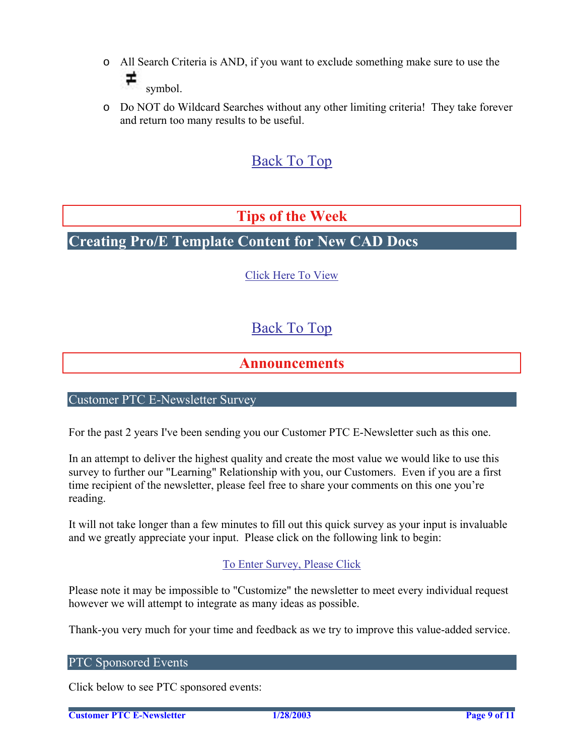- <span id="page-8-0"></span>o All Search Criteria is AND, if you want to exclude something make sure to use the ∓ symbol.
- o Do NOT do Wildcard Searches without any other limiting criteria! They take forever and return too many results to be useful.

# [Back To Top](#page-0-0)

### **Tips of the Week**

# **Creating Pro/E Template Content for New CAD Docs**

[Click Here To View](http://www.ptc-mss.com/Tutorial/Tip_Tech/Customer PTC E-Newsletter 1-24-2003_B.pdf)

# [Back To Top](#page-0-0)

### **Announcements**

#### Customer PTC E-Newsletter Survey

For the past 2 years I've been sending you our Customer PTC E-Newsletter such as this one.

In an attempt to deliver the highest quality and create the most value we would like to use this survey to further our "Learning" Relationship with you, our Customers. Even if you are a first time recipient of the newsletter, please feel free to share your comments on this one you're reading.

It will not take longer than a few minutes to fill out this quick survey as your input is invaluable and we greatly appreciate your input. Please click on the following link to begin:

#### [To Enter Survey, Please Click](http://www.zoomerang.com/survey.zgi?54VBJVHDAQYET9LJJT1DWKC4)

Please note it may be impossible to "Customize" the newsletter to meet every individual request however we will attempt to integrate as many ideas as possible.

Thank-you very much for your time and feedback as we try to improve this value-added service.

#### PTC Sponsored Events

Click below to see PTC sponsored events: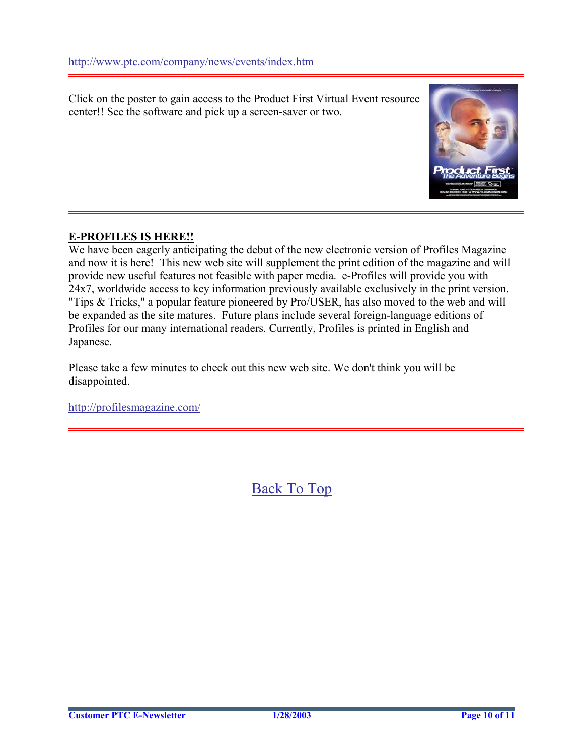Click on the poster to gain access to the Product First Virtual Event resource center!! See the software and pick up a screen-saver or two.



#### **E-PROFILES IS HERE!!**

We have been eagerly anticipating the debut of the new electronic version of Profiles Magazine and now it is here! This new web site will supplement the print edition of the magazine and will provide new useful features not feasible with paper media. e-Profiles will provide you with 24x7, worldwide access to key information previously available exclusively in the print version. "Tips & Tricks," a popular feature pioneered by Pro/USER, has also moved to the web and will be expanded as the site matures. Future plans include several foreign-language editions of Profiles for our many international readers. Currently, Profiles is printed in English and Japanese.

Please take a few minutes to check out this new web site. We don't think you will be disappointed.

<http://profilesmagazine.com/>

[Back To Top](#page-0-0)